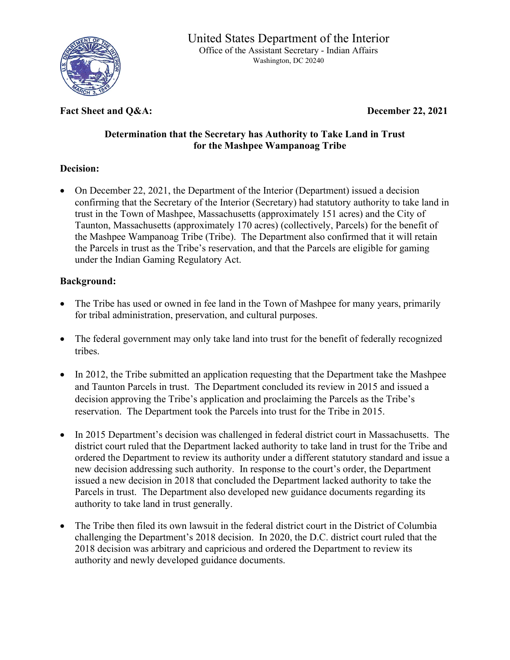

Fact Sheet and Q&A: December 22, 2021

## **Determination that the Secretary has Authority to Take Land in Trust for the Mashpee Wampanoag Tribe**

## **Decision:**

• On December 22, 2021, the Department of the Interior (Department) issued a decision confirming that the Secretary of the Interior (Secretary) had statutory authority to take land in trust in the Town of Mashpee, Massachusetts (approximately 151 acres) and the City of Taunton, Massachusetts (approximately 170 acres) (collectively, Parcels) for the benefit of the Mashpee Wampanoag Tribe (Tribe). The Department also confirmed that it will retain the Parcels in trust as the Tribe's reservation, and that the Parcels are eligible for gaming under the Indian Gaming Regulatory Act.

# **Background:**

- The Tribe has used or owned in fee land in the Town of Mashpee for many years, primarily for tribal administration, preservation, and cultural purposes.
- The federal government may only take land into trust for the benefit of federally recognized tribes.
- In 2012, the Tribe submitted an application requesting that the Department take the Mashpee and Taunton Parcels in trust. The Department concluded its review in 2015 and issued a decision approving the Tribe's application and proclaiming the Parcels as the Tribe's reservation. The Department took the Parcels into trust for the Tribe in 2015.
- In 2015 Department's decision was challenged in federal district court in Massachusetts. The district court ruled that the Department lacked authority to take land in trust for the Tribe and ordered the Department to review its authority under a different statutory standard and issue a new decision addressing such authority. In response to the court's order, the Department issued a new decision in 2018 that concluded the Department lacked authority to take the Parcels in trust. The Department also developed new guidance documents regarding its authority to take land in trust generally.
- The Tribe then filed its own lawsuit in the federal district court in the District of Columbia challenging the Department's 2018 decision. In 2020, the D.C. district court ruled that the 2018 decision was arbitrary and capricious and ordered the Department to review its authority and newly developed guidance documents.